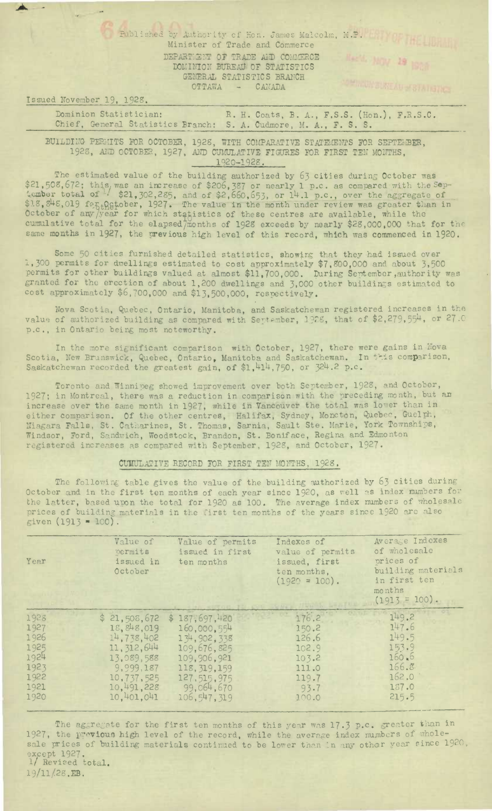Published by Authority of Hon. James Malcolm, M.P. Minister of Trade and Commerce

> DEPARTEENT OF TRADE AND COMMERCE DOMINION BUREAU OF STATISTICS GENERAL STATISTICS BRANCH<br>
> OTTAWA - CANADA - CANADA

Harth NOV 28 1905

## Issued November 19, 1928.

| Dominion Statistician:                                           |  | R. H. Coats, B. A., F.S.S. (Hon.), F.R.S.C. |
|------------------------------------------------------------------|--|---------------------------------------------|
| Chief, General Statistics Branch: S. A. Cudmore, M. A., F. S. S. |  |                                             |

BUILDING PERMITS FOR OCTOBER, 1928, WITH COMPARATIVE STATEMENTS FOR SEPTEMBER, 1928, AND OCTOBER, 1927, AND CUMULATIVE FIGURES FOR FIRST TEN MONTHS, 12o-192g.

The estimated value of the building authorized by 63 cities during October was  $1,508,672;$  this was an increase of \$206,387 or nearly 1 p.c. as compared with the Sepember total of  $4$  \$21,302,285, and of \$2,660,653, or  $14.1$  p.c., over the aggregate of \$18,848,019 fegtoer, 1927. The value in the month under review was greater than in October of any/year for which statistics of these centres are available, while the cumulative total for the elapsed/months of 1928 exceeds by nearly \$28,000,000 that for the same months in 1927, the previous high level of this record, which was commenced in 1920.

Some 50 cities furnished detailed statistics, showing that they had Issued over 1,300 permits for dwellings estimated to cost approximately \$7,800,000 and about 3,500 permits for other buildings valued at almost \$11,700,000. During September, authority was granted for the erection of about 1,200 dwellings and 3,000 other buildings estimated to cost approximately \$6,700,000 and \$13,500,000, respectively.

Nova Scotia, Quebec, Ontario, Manitoba, and Saskatchewan registered increases in the value of authorized building as compared with September, 1925, that of \$2,279,554, or 27.0 P.C., in Ontario being most noteworthy.

In the more significant comparison with October, 1927, there were gains in Nova Scotia, New Brunswick, Quebec, Ontario, Manitoba and Saskatchewan. In this comparison, Saskatchewan recorded the greatest gain, of \$1,414,750, or  $324.2$  p.c.

Toronto and Winnipeg showed improvement over both September, 1928, and October, 1927; in Montreal, there was a reduction in comparison with the preceding month, but an increase over the same month in 1927, while in Vancouver the total was lower than in either comparison. Of the other centres, Halifax, Sydney, Moncton, Quebec, Guelph,<br>Niagara Falls, St. Catharines, St. Thomas, Sarnia, Sault Ste. Marie, York Townships, Windsor, Ford, Sandwich, Woodstock, Brandon, St. Bonif ace, Regina and Edmonton registered increases as compared with September, 1928, and October, 1927.

## CUMULATIVE RECORD FOR FIRST TEN MONTHS, 1928.

The following table gives the value of the building authorized by 63 cities during October and in the first ten months of each year since 1920, as well as index numbers for the latter, based upon the total for 1920 as 100. The average index numbers of wholesale prices of building materials in the first ten months of the years since 1920 are also given  $(1913 - 100)$ .

| Year                                                                 | Value of<br>permits<br>issued in<br>October                                                                                   | Value of permits<br>issued in first<br>ten months                                                                                            | Indexes of<br>value of permits<br>issued, first<br>ten months,<br>$(1920 = 100)$ . | Average Indexes<br>of wholesale<br>prices of<br>building materials<br>in first ten<br>months<br>$(1913 = 100)$ . |
|----------------------------------------------------------------------|-------------------------------------------------------------------------------------------------------------------------------|----------------------------------------------------------------------------------------------------------------------------------------------|------------------------------------------------------------------------------------|------------------------------------------------------------------------------------------------------------------|
| 1928<br>1927<br>1926<br>1925<br>1924<br>1923<br>1922<br>1921<br>1920 | \$21,508,672<br>18,848,019<br>14,738,402<br>11, 312, 644<br>13,089,588<br>9,999,187<br>10,737,525<br>10,491,228<br>10,401,041 | \$187,697,420<br>160,000,554<br>134,902,338<br>109.676.825<br>109, 906, 921<br>118, 319, 159<br>127, 515, 975<br>99,064,670<br>106, 547, 319 | 176.2<br>150.2<br>126.6<br>102.9<br>103.2<br>111.0<br>119.7<br>93.7<br>100.0       | 149.2<br>147.6<br>149.5<br>153.9<br>160.6<br>166.8<br>162.0<br>187.0<br>215.5                                    |

The aggregate for the first ten months of this year was 17.3 p.c. greater than in 1927, the provious high level of the record, while the average index numbers of wholesale prices of building materials continued to be lower than in any other year since 1920. except 1927. i/ Revised total.

19/11/28.EB.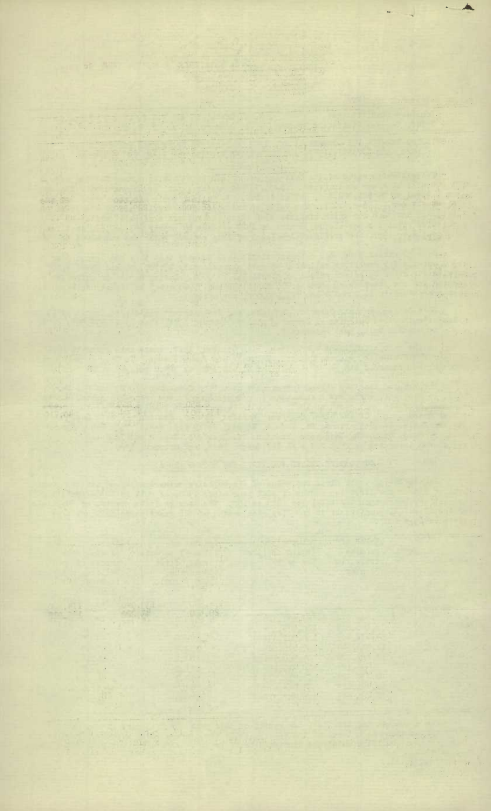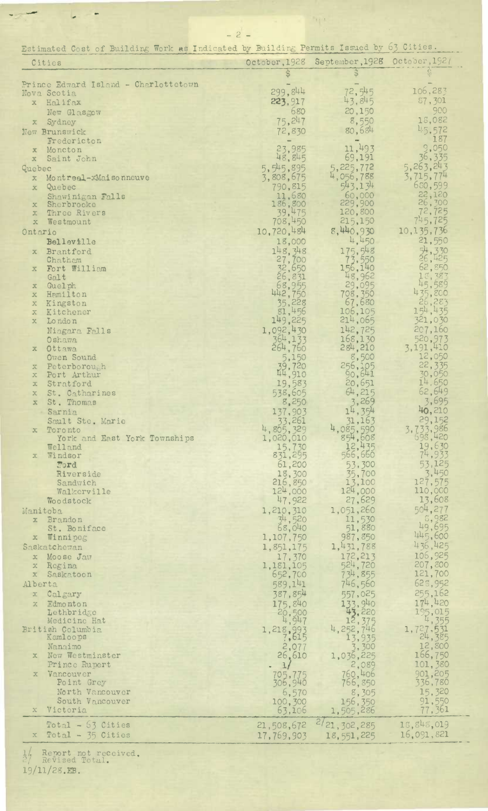| Estimated Cost of Building Work as Indicated by Building Permits Issued by 63 Cities. | $- c -$                  |                                             |                            |
|---------------------------------------------------------------------------------------|--------------------------|---------------------------------------------|----------------------------|
| Cities                                                                                |                          | October, 1928 September, 1928 October, 1927 |                            |
|                                                                                       |                          |                                             |                            |
| Prince Edward Island - Charlottetown<br>Nova Scotia                                   | 299,844                  | 72,545                                      | 106,283                    |
| x Halifax                                                                             | 223, 917                 | 43,845                                      | 87,301                     |
| New Glasgow                                                                           | 680                      | 20,150                                      | 900                        |
| Sydney<br>$\mathbf{x}$<br>New Brunswick                                               | 75,247<br>72,830         | 8,550<br>80,684                             | 18,082<br>45,572           |
| Fredericton                                                                           |                          |                                             | 187                        |
| x Moncton                                                                             | 23,985                   | 11,493                                      | 9,050                      |
| Saint John<br>$\mathbf{x}$                                                            | 48,845                   | 69,191                                      | 36,335<br>5,263,243        |
| Quebec<br>Montreal-xMaisonneuve<br>$\mathbb{X}$                                       | 5, 545, 895<br>3,808,675 | 5,225,772<br>4,056,788                      | 3,715,774                  |
| Quebec<br>$\mathbf{x}$                                                                | 790,815                  | 543,134                                     | 680,599                    |
| Shawinigan Falls                                                                      | 11,680                   | 60,000                                      | 22,120                     |
| x Sherbrooke<br>Three Rivers<br>$\mathbf{x}$                                          | 186,800<br>39,475        | 229,900<br>120,800                          | 26,300<br>72,725           |
| Westmount<br>$\mathbf{x}$                                                             | 708,450                  | 215,150                                     | 745,725                    |
| Ontario                                                                               | 10,720,484               | 8,440,930                                   | 10, 135, 736               |
| Belleville                                                                            | 18,000                   | 4,450                                       | 21,550                     |
| x Brantford<br>Chatham                                                                | $148,348$<br>27,700      | 175,548                                     | 54,330<br>26,425           |
| Fort William<br>$\mathbf{X}$                                                          | 32,650                   | 156,140                                     | 62,850                     |
| Galt                                                                                  | 26,831                   | 48,962                                      | 13,387<br>45,589           |
| Guelph<br>$\mathbf{x}$<br>Hamilton<br>$\mathbf{x}$                                    | 442,750                  | 29,095<br>708, 350                          | 435,800                    |
| Kingston<br>$\mathbf{x}$                                                              | 35,228                   | 67,680                                      | 26,283                     |
| Kitchener<br>$\mathbf{X}$                                                             | 81,456<br>149,225        | 106,105                                     | 154,435<br>321,030         |
| London<br>$\mathbf x$<br>Niagara Falls                                                | 1,092,430                | 214,065<br>142,725                          | 207,160                    |
| Oshawa                                                                                | 364,133                  | 168,130                                     | 520,973                    |
| Ottawa<br>$\mathbf{x}$                                                                | 264,760                  | 284,210                                     | 3,191,410                  |
| Owen Sound<br>Peterborough                                                            | 5,150                    | 8,500<br>256,105                            | 12,050<br>22,335           |
| $\mathbf{x}$<br>x Port Arthur                                                         | 39,720                   | 90,641                                      | 30,050                     |
| Stratford<br>$\mathbb X$                                                              | 19,583                   | 20,651                                      | 14,650                     |
| St. Catharines<br>$\mathbb{X}$                                                        | 538,605                  | 64, 215<br>3,269                            | 62,649<br>. 3,695          |
| St. Thomas<br>$\mathbbm{X}$<br>Sarnia                                                 | 8,250<br>137,903         | 14, 354                                     | 40,210                     |
| Sault Ste. Marie                                                                      | 33,261                   | 31,163                                      | 29,152                     |
| Toronto<br>$\mathbf{x}$                                                               | 4,805,329                | 4,085,590                                   | 3,733,986                  |
| York and East York Townships<br>Welland                                               | 1,020,010<br>15,730      | 854,608<br>12,435                           | 698,420<br>19,630          |
| Windsor<br>$\mathbf{x}$                                                               | 831,295                  | 566,660                                     | 74,933                     |
| Tord                                                                                  | 61,200                   | 53,300                                      | 53,125                     |
| Riverside<br>Sandwich                                                                 | 18,300<br>216,850        | 35,700<br>13,100                            | 3,450<br>127,575           |
| Walkerville                                                                           | 124,000                  | 124,000                                     | 110,000                    |
| Woodstock                                                                             | 47,922                   | 27,629                                      | 13,608                     |
| Manitoba<br>x Brandon                                                                 | 1,210,310<br>34,520      | 1,051,260<br>11,530                         | 504,277                    |
| St. Boniface                                                                          | 68,040                   | 51,880                                      | 49,695                     |
| x Winnipeg                                                                            | 1,107,750                | 987,850                                     | 445,600                    |
| Saskatchewan                                                                          | 1,851,175                | 1,431,788                                   | 436,425                    |
| x Moose Jaw<br>Regina<br>$\mathbb{X}$                                                 | 17,370<br>1,181,105      | 172,213<br>524,720                          | 106,925<br>207,800         |
| $\mathbf{x}$<br>Saskatoon                                                             | 652,700                  | 734,855                                     | 121,700                    |
| Alberta                                                                               | 589,141                  | 746,560                                     | 625,952                    |
| Calgary<br>$\mathbf{x}$                                                               | 387,854                  | 557,025                                     | 255,162                    |
| Edmonton<br>X<br>Lethbridge                                                           | 175,840<br>20,500        | 133, 940<br>13, 220<br>12, 375              | 174,420                    |
| Medicine Hat                                                                          | 4,947                    |                                             | 195,015                    |
| British Columbia                                                                      | 1,218,993                | 4,252,746                                   | $1, 727, 531$<br>$24, 385$ |
| Kamloops<br>Nanaimo                                                                   | 2,077                    | 13,935<br>3,300                             | 12,800                     |
| New Westminster<br>$\mathbf{x}$                                                       | 26,610                   | 1,036,225                                   | 166,750                    |
| Prince Rupert                                                                         | 1/                       | 2,089                                       | 101,380                    |
| Vancouver<br>$\mathbf{x}$<br>Point Grey                                               | 705,775<br>306,940       | 760,406<br>766,850                          | 901,205<br>336,780         |
| North Vancouver                                                                       | 6,570                    | 8,305                                       | 15,320                     |
| South Vancouver                                                                       | 100,300                  | 156,350                                     | 91,550                     |
| x Victoria                                                                            | 63,106                   | 1,505,286                                   | 77,361                     |
| Total $-53$ Cities                                                                    | 21,508,672               | 2/21, 302, 285                              | 13,843,019                 |
| $Total - 35 \nCities$<br>X                                                            | 17,769,903               | 18, 551, 225                                | 16,091,821                 |

 $\mathcal{H}^{\pm}$ 

 $\frac{1}{2}$  Report not received.<br>19/11/28.EB.

 $\overline{\phantom{a}}$ 

 $\frac{1}{2} \left( \frac{1}{2} \right) \left( \frac{1}{2} \right) \left( \frac{1}{2} \right)$